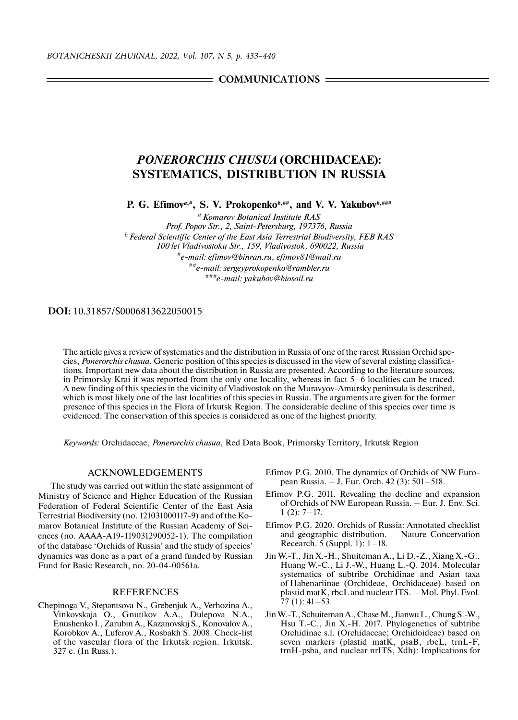**COMMUNICATIONS** =

## *PONERORCHIS CHUSUA* **(ORCHIDACEAE): SYSTEMATICS, DISTRIBUTION IN RUSSIA**

**P. G. Efimov***a***,#, S. V. Prokopenko***b***,##, and V. V. Yakubov***b***,###**

*a Komarov Botanical Institute RAS Prof. Popov Str., 2, Saint-Petersburg, 197376, Russia b Federal Scientific Center of the East Asia Terrestrial Biodiversity, FEB RAS 100 let Vladivostoku Str., 159, Vladivostok, 690022, Russia #e-mail: efimov@binran.ru, efimov81@mail.ru ##e-mail: sergeyprokopenko@rambler.ru ###e-mail: yakubov@biosoil.ru*

## **DOI:** 10.31857/S0006813622050015

The article gives a review of systematics and the distribution in Russia of one of the rarest Russian Orchid species, *Ponerorchis chusua*. Generic position of this species is discussed in the view of several existing classifications. Important new data about the distribution in Russia are presented. According to the literature sources, in Primorsky Krai it was reported from the only one locality, whereas in fact 5–6 localities can be traced. A new finding of this species in the vicinity of Vladivostok on the Muravyov-Amursky peninsula is described, which is most likely one of the last localities of this species in Russia. The arguments are given for the former presence of this species in the Flora of Irkutsk Region. The considerable decline of this species over time is evidenced. The conservation of this species is considered as one of the highest priority.

*Keywords:* Orchidaceae, *Ponerorchis chusua*, Red Data Book, Primorsky Territory, Irkutsk Region

## ACKNOWLEDGEMENTS

The study was carried out within the state assignment of Ministry of Science and Higher Education of the Russian Federation of Federal Scientific Center of the East Asia Terrestrial Biodiversity (no. 121031000117-9) and of the Komarov Botanical Institute of the Russian Academy of Sciences (no. АААА-А19-119031290052-1). The compilation of the database 'Orchids of Russia' and the study of species' dynamics was done as a part of a grand funded by Russian Fund for Basic Research, no. 20-04-00561a.

## REFERENCES

Chepinoga V., Stepantsova N., Grebenjuk A., Verhozina A., Vinkovskaja O., Gnutikov A.A., Dulepova N.A., Enushenko I., Zarubin A., Kazanovskij S., Konovalov A., Korobkov A., Luferov A., Rosbakh S. 2008. Check-list of the vascular flora of the Irkutsk region. Irkutsk. 327 с. (In Russ.).

- Efimov P.G. 2010. The dynamics of Orchids of NW European Russia. – J. Eur. Orch. 42 (3): 501–518.
- Efimov P.G. 2011. Revealing the decline and expansion of Orchids of NW European Russia. – Eur. J. Env. Sci.  $1(2): 7-17.$
- Efimov P.G. 2020. Orchids of Russia: Annotated checklist and geographic distribution. – Nature Concervation Recearch. 5 (Suppl. 1): 1–18.
- Jin W.-T., Jin X.-H., Shuiteman A., Li D.-Z., Xiang X.-G., Huang W.-C., Li J.-W., Huang L.-Q. 2014. Molecular systematics of subtribe Orchidinae and Asian taxa of Habenariinae (Orchideae, Orchidaceae) based on plastid matK, rbcL and nuclear ITS. – Mol. Phyl. Evol. 77 (1): 41–53.
- Jin W.-T., Schuiteman A., Chase M., Jianwu L., Chung S.-W., Hsu T.-C., Jin X.-H. 2017. Phylogenetics of subtribe Orchidinae s.l. (Orchidaceae; Orchidoideae) based on seven markers (plastid matK, psaB, rbcL, trnL-F, trnH-psba, and nuclear nrITS, Xdh): Implications for